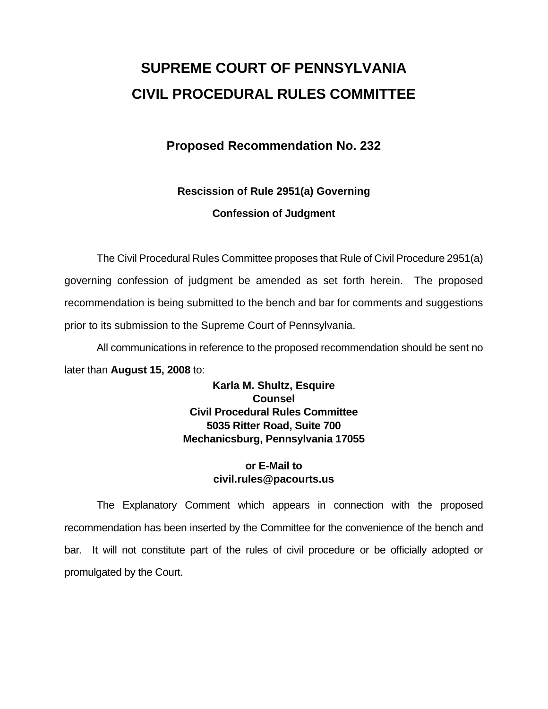# **SUPREME COURT OF PENNSYLVANIA CIVIL PROCEDURAL RULES COMMITTEE**

## **Proposed Recommendation No. 232**

## **Rescission of Rule 2951(a) Governing Confession of Judgment**

 The Civil Procedural Rules Committee proposes that Rule of Civil Procedure 2951(a) governing confession of judgment be amended as set forth herein. The proposed recommendation is being submitted to the bench and bar for comments and suggestions prior to its submission to the Supreme Court of Pennsylvania.

 All communications in reference to the proposed recommendation should be sent no later than **August 15, 2008** to:

> **Karla M. Shultz, Esquire Counsel Civil Procedural Rules Committee 5035 Ritter Road, Suite 700 Mechanicsburg, Pennsylvania 17055**

## **or E-Mail to civil.rules@pacourts.us**

 The Explanatory Comment which appears in connection with the proposed recommendation has been inserted by the Committee for the convenience of the bench and bar. It will not constitute part of the rules of civil procedure or be officially adopted or promulgated by the Court.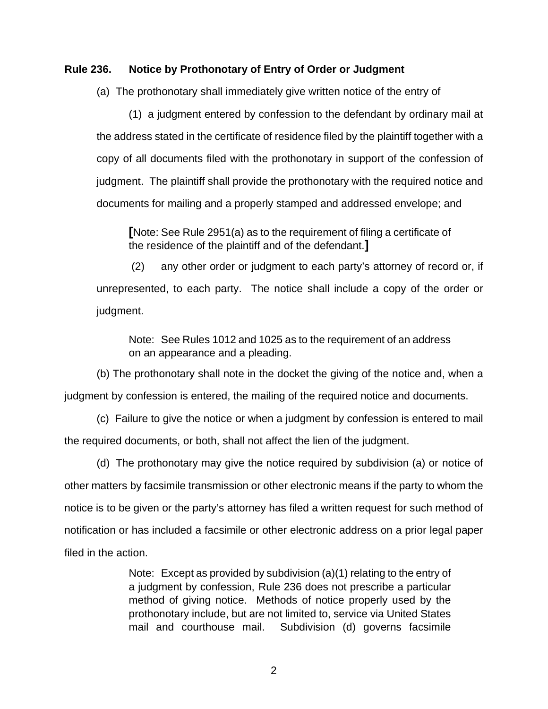#### **Rule 236. Notice by Prothonotary of Entry of Order or Judgment**

(a) The prothonotary shall immediately give written notice of the entry of

(1) a judgment entered by confession to the defendant by ordinary mail at the address stated in the certificate of residence filed by the plaintiff together with a copy of all documents filed with the prothonotary in support of the confession of judgment. The plaintiff shall provide the prothonotary with the required notice and documents for mailing and a properly stamped and addressed envelope; and

**[**Note: See Rule 2951(a) as to the requirement of filing a certificate of the residence of the plaintiff and of the defendant.**]**

(2) any other order or judgment to each party's attorney of record or, if unrepresented, to each party. The notice shall include a copy of the order or judgment.

Note: See Rules 1012 and 1025 as to the requirement of an address on an appearance and a pleading.

(b) The prothonotary shall note in the docket the giving of the notice and, when a judgment by confession is entered, the mailing of the required notice and documents.

 (c) Failure to give the notice or when a judgment by confession is entered to mail the required documents, or both, shall not affect the lien of the judgment.

 (d) The prothonotary may give the notice required by subdivision (a) or notice of other matters by facsimile transmission or other electronic means if the party to whom the notice is to be given or the party's attorney has filed a written request for such method of notification or has included a facsimile or other electronic address on a prior legal paper filed in the action.

> Note: Except as provided by subdivision (a)(1) relating to the entry of a judgment by confession, Rule 236 does not prescribe a particular method of giving notice. Methods of notice properly used by the prothonotary include, but are not limited to, service via United States mail and courthouse mail. Subdivision (d) governs facsimile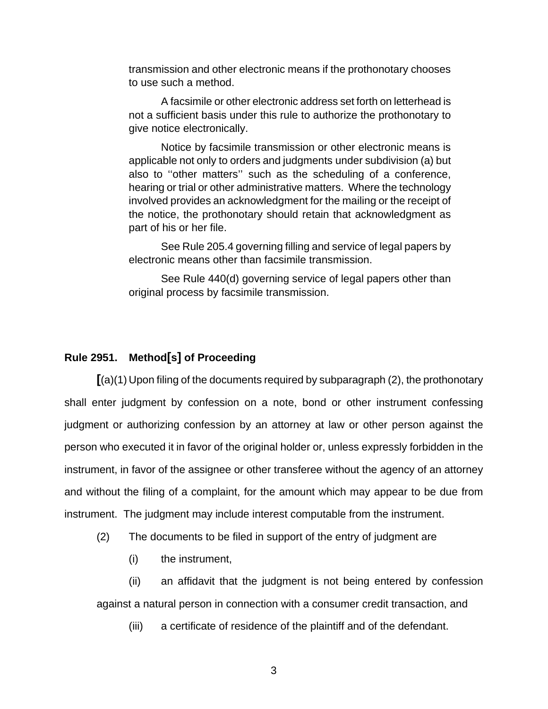transmission and other electronic means if the prothonotary chooses to use such a method.

 A facsimile or other electronic address set forth on letterhead is not a sufficient basis under this rule to authorize the prothonotary to give notice electronically.

 Notice by facsimile transmission or other electronic means is applicable not only to orders and judgments under subdivision (a) but also to ''other matters'' such as the scheduling of a conference, hearing or trial or other administrative matters. Where the technology involved provides an acknowledgment for the mailing or the receipt of the notice, the prothonotary should retain that acknowledgment as part of his or her file.

 See Rule 205.4 governing filling and service of legal papers by electronic means other than facsimile transmission.

 See Rule 440(d) governing service of legal papers other than original process by facsimile transmission.

## **Rule 2951. Method[s] of Proceeding**

**[**(a)(1) Upon filing of the documents required by subparagraph (2), the prothonotary shall enter judgment by confession on a note, bond or other instrument confessing judgment or authorizing confession by an attorney at law or other person against the person who executed it in favor of the original holder or, unless expressly forbidden in the instrument, in favor of the assignee or other transferee without the agency of an attorney and without the filing of a complaint, for the amount which may appear to be due from instrument. The judgment may include interest computable from the instrument.

(2) The documents to be filed in support of the entry of judgment are

(i) the instrument,

 (ii) an affidavit that the judgment is not being entered by confession against a natural person in connection with a consumer credit transaction, and

(iii) a certificate of residence of the plaintiff and of the defendant.

3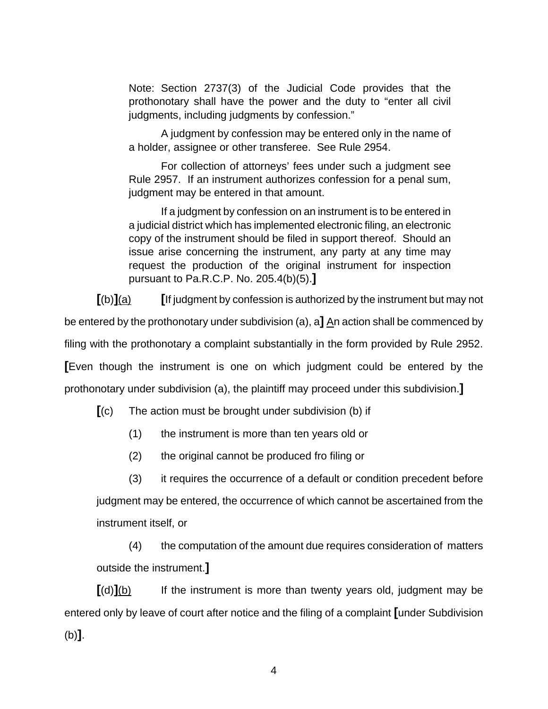Note: Section 2737(3) of the Judicial Code provides that the prothonotary shall have the power and the duty to "enter all civil judgments, including judgments by confession."

 A judgment by confession may be entered only in the name of a holder, assignee or other transferee. See Rule 2954.

 For collection of attorneys' fees under such a judgment see Rule 2957. If an instrument authorizes confession for a penal sum, judgment may be entered in that amount.

 If a judgment by confession on an instrument is to be entered in a judicial district which has implemented electronic filing, an electronic copy of the instrument should be filed in support thereof. Should an issue arise concerning the instrument, any party at any time may request the production of the original instrument for inspection pursuant to Pa.R.C.P. No. 205.4(b)(5).**]** 

**[**(b)**]**(a) **[**If judgment by confession is authorized by the instrument but may not

be entered by the prothonotary under subdivision (a), a**]** An action shall be commenced by

filing with the prothonotary a complaint substantially in the form provided by Rule 2952.

**[**Even though the instrument is one on which judgment could be entered by the

prothonotary under subdivision (a), the plaintiff may proceed under this subdivision.**]**

**[**(c) The action must be brought under subdivision (b) if

(1) the instrument is more than ten years old or

(2) the original cannot be produced fro filing or

 (3) it requires the occurrence of a default or condition precedent before judgment may be entered, the occurrence of which cannot be ascertained from the instrument itself, or

(4) the computation of the amount due requires consideration of matters outside the instrument.**]** 

**[**(d)**]**(b) If the instrument is more than twenty years old, judgment may be entered only by leave of court after notice and the filing of a complaint **[**under Subdivision (b)**]**.

4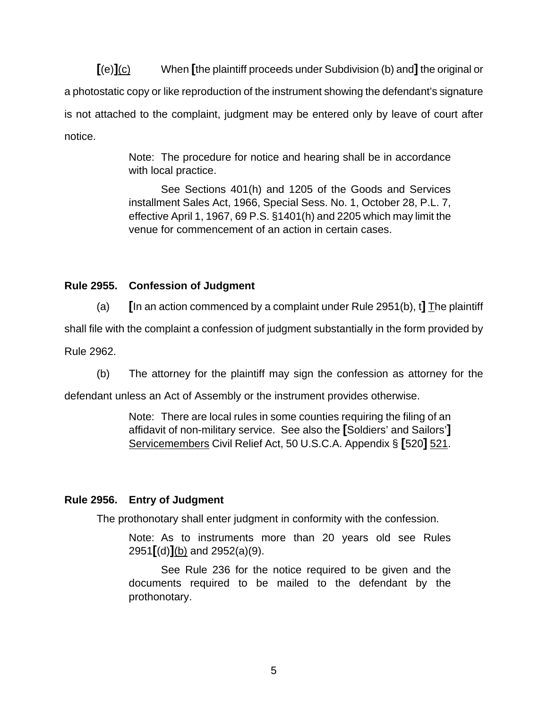**[**(e)**]**(c) When **[**the plaintiff proceeds under Subdivision (b) and**]** the original or a photostatic copy or like reproduction of the instrument showing the defendant's signature is not attached to the complaint, judgment may be entered only by leave of court after notice.

> Note: The procedure for notice and hearing shall be in accordance with local practice.

> See Sections 401(h) and 1205 of the Goods and Services installment Sales Act, 1966, Special Sess. No. 1, October 28, P.L. 7, effective April 1, 1967, 69 P.S. §1401(h) and 2205 which may limit the venue for commencement of an action in certain cases.

## **Rule 2955. Confession of Judgment**

 (a) **[**In an action commenced by a complaint under Rule 2951(b), t**]** The plaintiff shall file with the complaint a confession of judgment substantially in the form provided by Rule 2962.

(b) The attorney for the plaintiff may sign the confession as attorney for the

defendant unless an Act of Assembly or the instrument provides otherwise.

Note: There are local rules in some counties requiring the filing of an affidavit of non-military service. See also the **[**Soldiers' and Sailors'**]**  Servicemembers Civil Relief Act, 50 U.S.C.A. Appendix § **[**520**]** 521.

## **Rule 2956. Entry of Judgment**

The prothonotary shall enter judgment in conformity with the confession.

Note: As to instruments more than 20 years old see Rules 2951**[**(d)**]**(b) and 2952(a)(9).

 See Rule 236 for the notice required to be given and the documents required to be mailed to the defendant by the prothonotary.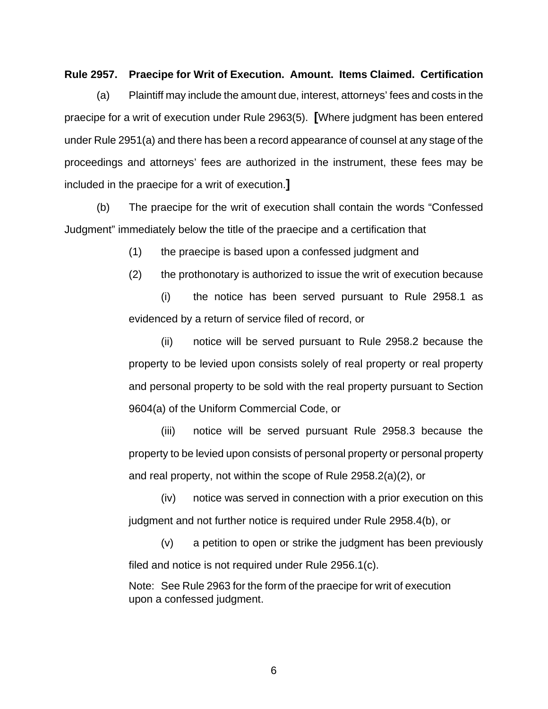#### **Rule 2957. Praecipe for Writ of Execution. Amount. Items Claimed. Certification**

 (a) Plaintiff may include the amount due, interest, attorneys' fees and costs in the praecipe for a writ of execution under Rule 2963(5). **[**Where judgment has been entered under Rule 2951(a) and there has been a record appearance of counsel at any stage of the proceedings and attorneys' fees are authorized in the instrument, these fees may be included in the praecipe for a writ of execution.**]**

 (b) The praecipe for the writ of execution shall contain the words "Confessed Judgment" immediately below the title of the praecipe and a certification that

(1) the praecipe is based upon a confessed judgment and

(2) the prothonotary is authorized to issue the writ of execution because

(i) the notice has been served pursuant to Rule 2958.1 as evidenced by a return of service filed of record, or

(ii) notice will be served pursuant to Rule 2958.2 because the property to be levied upon consists solely of real property or real property and personal property to be sold with the real property pursuant to Section 9604(a) of the Uniform Commercial Code, or

(iii) notice will be served pursuant Rule 2958.3 because the property to be levied upon consists of personal property or personal property and real property, not within the scope of Rule 2958.2(a)(2), or

(iv) notice was served in connection with a prior execution on this judgment and not further notice is required under Rule 2958.4(b), or

(v) a petition to open or strike the judgment has been previously filed and notice is not required under Rule 2956.1(c).

Note: See Rule 2963 for the form of the praecipe for writ of execution upon a confessed judgment.

6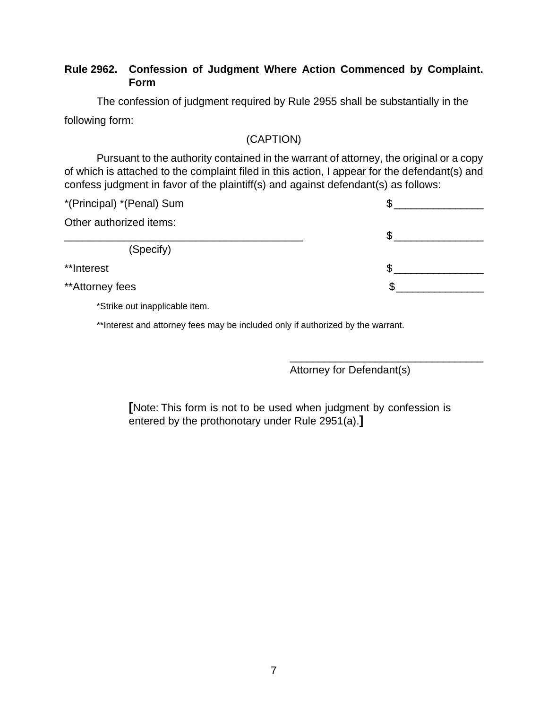## **Rule 2962. Confession of Judgment Where Action Commenced by Complaint. Form**

The confession of judgment required by Rule 2955 shall be substantially in the following form:

## (CAPTION)

Pursuant to the authority contained in the warrant of attorney, the original or a copy of which is attached to the complaint filed in this action, I appear for the defendant(s) and confess judgment in favor of the plaintiff(s) and against defendant(s) as follows:

| *(Principal) *(Penal) Sum |    |  |
|---------------------------|----|--|
| Other authorized items:   | S. |  |
| (Specify)                 |    |  |
| **Interest                |    |  |
| **Attorney fees           |    |  |

 $\overline{\phantom{a}}$  , which is a set of the set of the set of the set of the set of the set of the set of the set of the set of the set of the set of the set of the set of the set of the set of the set of the set of the set of th

\*Strike out inapplicable item.

\*\*Interest and attorney fees may be included only if authorized by the warrant.

Attorney for Defendant(s)

**[**Note: This form is not to be used when judgment by confession is entered by the prothonotary under Rule 2951(a).**]**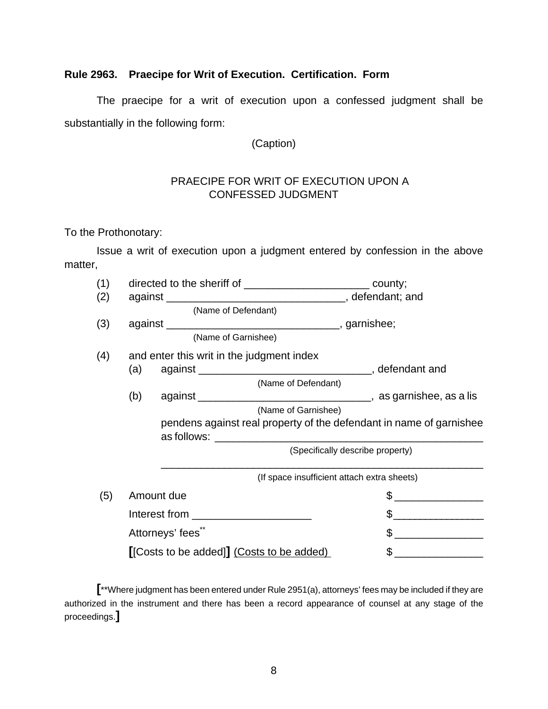## **Rule 2963. Praecipe for Writ of Execution. Certification. Form**

The praecipe for a writ of execution upon a confessed judgment shall be substantially in the following form:

(Caption)

## PRAECIPE FOR WRIT OF EXECUTION UPON A CONFESSED JUDGMENT

To the Prothonotary:

Issue a writ of execution upon a judgment entered by confession in the above matter,

| (1) | directed to the sheriff of _______________________________ county;  |                                             |
|-----|---------------------------------------------------------------------|---------------------------------------------|
| (2) |                                                                     |                                             |
|     | (Name of Defendant)                                                 |                                             |
| (3) |                                                                     |                                             |
|     | (Name of Garnishee)                                                 |                                             |
| (4) | and enter this writ in the judgment index                           |                                             |
|     | (a)                                                                 |                                             |
|     | (Name of Defendant)                                                 |                                             |
|     | (b)                                                                 |                                             |
|     | (Name of Garnishee)                                                 |                                             |
|     | pendens against real property of the defendant in name of garnishee |                                             |
|     |                                                                     |                                             |
|     | (Specifically describe property)                                    |                                             |
|     |                                                                     | (If space insufficient attach extra sheets) |
| (5) | Amount due                                                          | \$                                          |
|     |                                                                     | $\frac{1}{2}$                               |
|     | Attorneys' fees"                                                    |                                             |
|     | [[Costs to be added]] (Costs to be added)                           | $\sim$                                      |

**[**\*\*Where judgment has been entered under Rule 2951(a), attorneys' fees may be included if they are authorized in the instrument and there has been a record appearance of counsel at any stage of the proceedings.**]**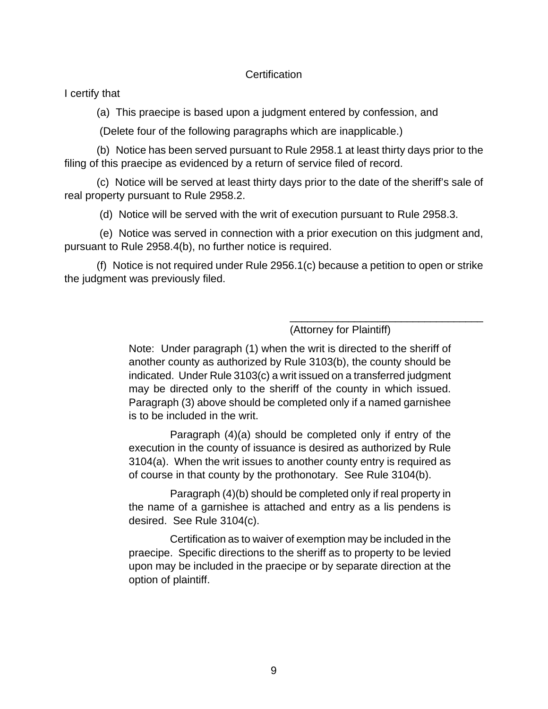#### **Certification**

I certify that

(a) This praecipe is based upon a judgment entered by confession, and

(Delete four of the following paragraphs which are inapplicable.)

 (b) Notice has been served pursuant to Rule 2958.1 at least thirty days prior to the filing of this praecipe as evidenced by a return of service filed of record.

 (c) Notice will be served at least thirty days prior to the date of the sheriff's sale of real property pursuant to Rule 2958.2.

(d) Notice will be served with the writ of execution pursuant to Rule 2958.3.

 (e) Notice was served in connection with a prior execution on this judgment and, pursuant to Rule 2958.4(b), no further notice is required.

 (f) Notice is not required under Rule 2956.1(c) because a petition to open or strike the judgment was previously filed.

(Attorney for Plaintiff)

\_\_\_\_\_\_\_\_\_\_\_\_\_\_\_\_\_\_\_\_\_\_\_\_\_\_\_\_\_\_\_\_\_

Note: Under paragraph (1) when the writ is directed to the sheriff of another county as authorized by Rule 3103(b), the county should be indicated. Under Rule 3103(c) a writ issued on a transferred judgment may be directed only to the sheriff of the county in which issued. Paragraph (3) above should be completed only if a named garnishee is to be included in the writ.

 Paragraph (4)(a) should be completed only if entry of the execution in the county of issuance is desired as authorized by Rule 3104(a). When the writ issues to another county entry is required as of course in that county by the prothonotary. See Rule 3104(b).

 Paragraph (4)(b) should be completed only if real property in the name of a garnishee is attached and entry as a lis pendens is desired. See Rule 3104(c).

 Certification as to waiver of exemption may be included in the praecipe. Specific directions to the sheriff as to property to be levied upon may be included in the praecipe or by separate direction at the option of plaintiff.